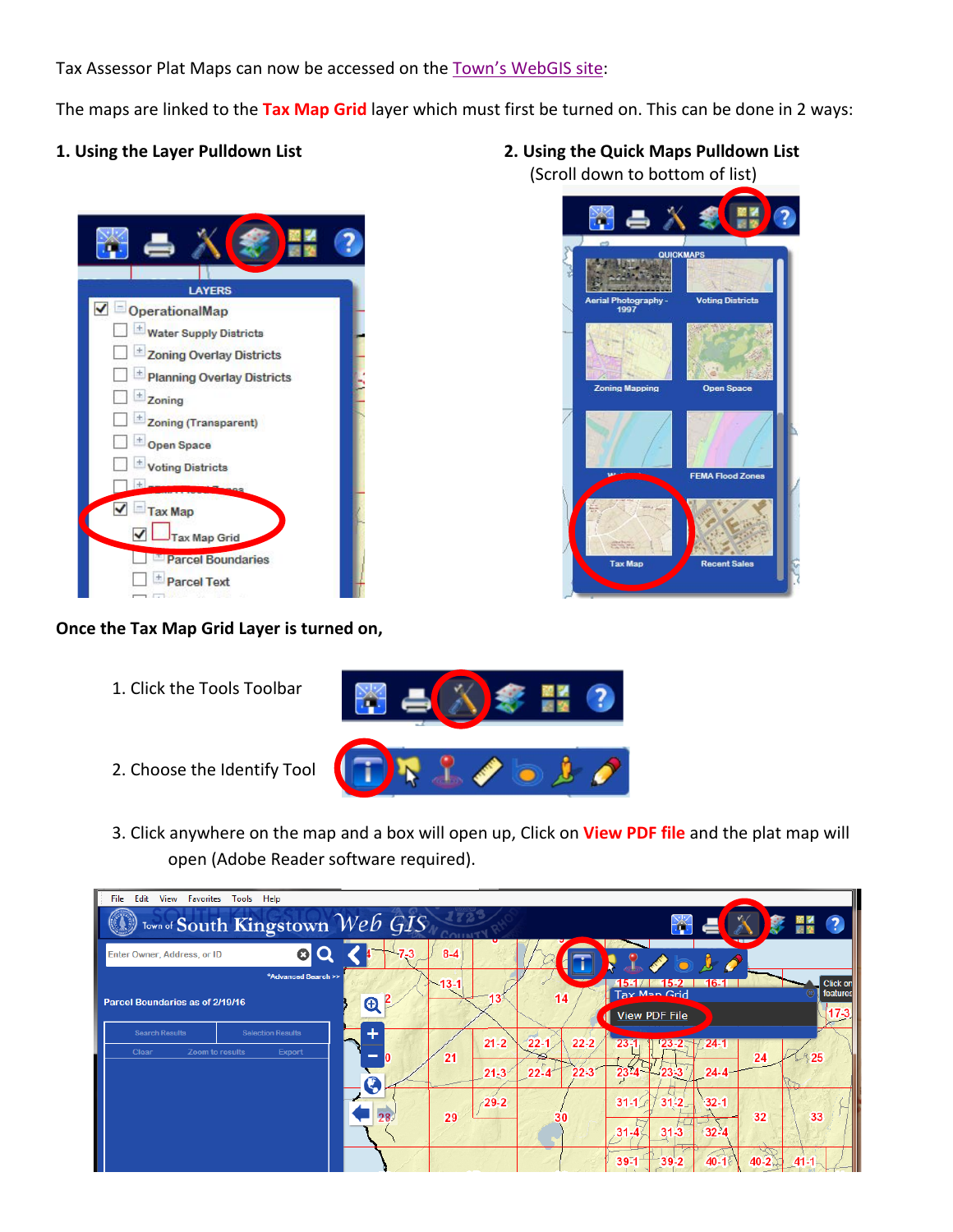Tax Assessor Plat Maps can now be accessed on the [Town's WebGIS site:](https://gishost.cdmsmithgis.com/webgis)

The maps are linked to the **Tax Map Grid** layer which must first be turned on. This can be done in 2 ways:





## **Once the Tax Map Grid Layer is turned on,**

1. Click the Tools Toolbar



- 2. Choose the Identify Tool
- 3. Click anywhere on the map and a box will open up, Click on **View PDF file** and the plat map will open (Adobe Reader software required).



- **1. Using the Layer Pulldown List 2. Using the Quick Maps Pulldown List**
	- (Scroll down to bottom of list)